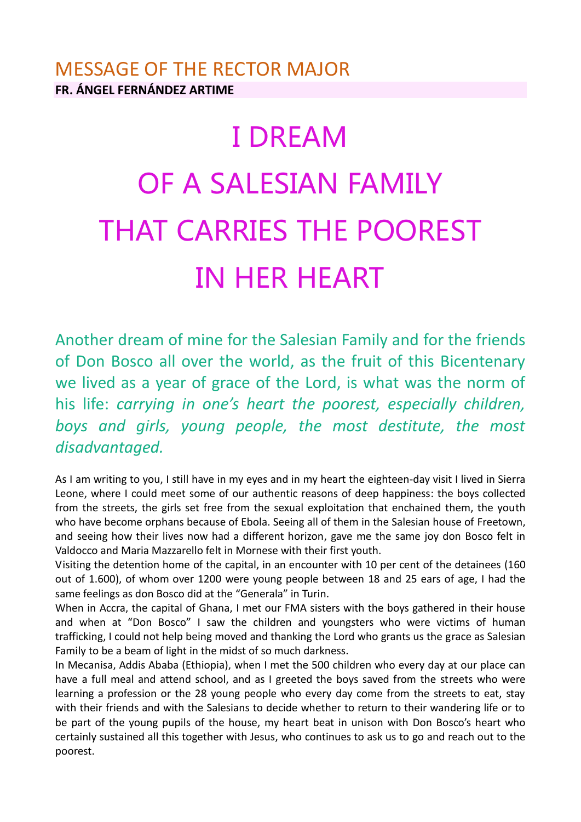## MESSAGE OF THE RECTOR MAJOR **FR. ÁNGEL FERNÁNDEZ ARTIME**

## I DREAM OF A SALESIAN FAMILY THAT CARRIES THE POOREST IN HER HEART

Another dream of mine for the Salesian Family and for the friends of Don Bosco all over the world, as the fruit of this Bicentenary we lived as a year of grace of the Lord, is what was the norm of his life: *carrying in one's heart the poorest, especially children, boys and girls, young people, the most destitute, the most disadvantaged.*

As I am writing to you, I still have in my eyes and in my heart the eighteen-day visit I lived in Sierra Leone, where I could meet some of our authentic reasons of deep happiness: the boys collected from the streets, the girls set free from the sexual exploitation that enchained them, the youth who have become orphans because of Ebola. Seeing all of them in the Salesian house of Freetown, and seeing how their lives now had a different horizon, gave me the same joy don Bosco felt in Valdocco and Maria Mazzarello felt in Mornese with their first youth.

Visiting the detention home of the capital, in an encounter with 10 per cent of the detainees (160 out of 1.600), of whom over 1200 were young people between 18 and 25 ears of age, I had the same feelings as don Bosco did at the "Generala" in Turin.

When in Accra, the capital of Ghana, I met our FMA sisters with the boys gathered in their house and when at "Don Bosco" I saw the children and youngsters who were victims of human trafficking, I could not help being moved and thanking the Lord who grants us the grace as Salesian Family to be a beam of light in the midst of so much darkness.

In Mecanisa, Addis Ababa (Ethiopia), when I met the 500 children who every day at our place can have a full meal and attend school, and as I greeted the boys saved from the streets who were learning a profession or the 28 young people who every day come from the streets to eat, stay with their friends and with the Salesians to decide whether to return to their wandering life or to be part of the young pupils of the house, my heart beat in unison with Don Bosco's heart who certainly sustained all this together with Jesus, who continues to ask us to go and reach out to the poorest.